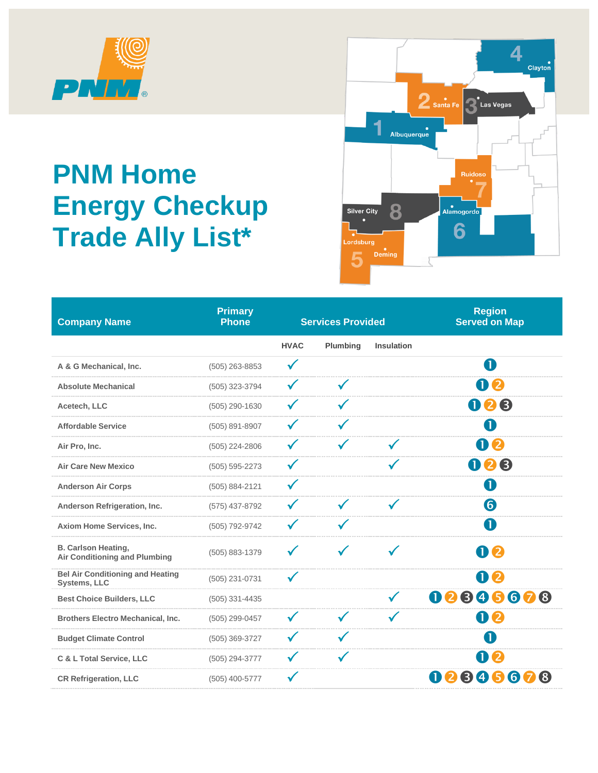

## **PNM Home Energy Checkup Trade Ally List\***



| <b>Company Name</b>                                                | <b>Primary</b><br><b>Phone</b> |              | <b>Services Provided</b> |                   | <b>Region</b><br><b>Served on Map</b> |
|--------------------------------------------------------------------|--------------------------------|--------------|--------------------------|-------------------|---------------------------------------|
|                                                                    |                                | <b>HVAC</b>  | <b>Plumbing</b>          | <b>Insulation</b> |                                       |
| A & G Mechanical, Inc.                                             | $(505)$ 263-8853               |              |                          |                   | A                                     |
| <b>Absolute Mechanical</b>                                         | (505) 323-3794                 |              | ✓                        |                   | 02                                    |
| Acetech, LLC                                                       | (505) 290-1630                 |              |                          |                   | 008                                   |
| <b>Affordable Service</b>                                          | (505) 891-8907                 |              |                          |                   | A                                     |
| Air Pro, Inc.                                                      | (505) 224-2806                 |              |                          | $\checkmark$      | 02                                    |
| <b>Air Care New Mexico</b>                                         | $(505) 595 - 2273$             |              |                          |                   | 008                                   |
| <b>Anderson Air Corps</b>                                          | (505) 884-2121                 | $\checkmark$ |                          |                   | O                                     |
| Anderson Refrigeration, Inc.                                       | (575) 437-8792                 |              |                          |                   | 6                                     |
| Axiom Home Services, Inc.                                          | (505) 792-9742                 |              |                          |                   | O                                     |
| <b>B. Carlson Heating,</b><br><b>Air Conditioning and Plumbing</b> | (505) 883-1379                 |              |                          |                   | 02                                    |
| <b>Bel Air Conditioning and Heating</b><br><b>Systems, LLC</b>     | (505) 231-0731                 |              |                          |                   | Ŋ<br>2                                |
| <b>Best Choice Builders, LLC</b>                                   | $(505)$ 331-4435               |              |                          |                   | 00000000                              |
| <b>Brothers Electro Mechanical, Inc.</b>                           | (505) 299-0457                 |              |                          |                   | 02                                    |
| <b>Budget Climate Control</b>                                      | (505) 369-3727                 |              |                          |                   | $\mathbf 1$                           |
| C & L Total Service, LLC                                           | (505) 294-3777                 |              |                          |                   | 02                                    |
| <b>CR Refrigeration, LLC</b>                                       | (505) 400-5777                 |              |                          |                   | 456<br>❸<br>7<br>(8)<br>U<br>2        |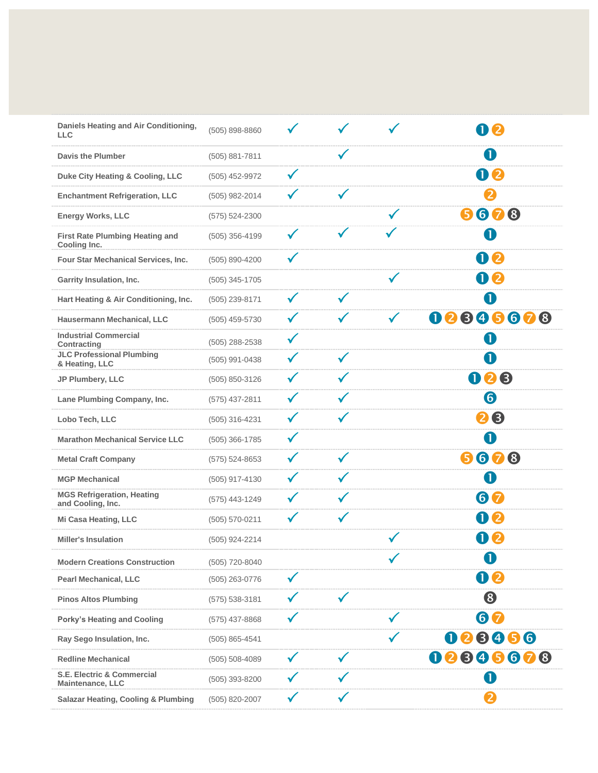| Daniels Heating and Air Conditioning,<br><b>LLC</b>       | (505) 898-8860     |              |              | 112              |
|-----------------------------------------------------------|--------------------|--------------|--------------|------------------|
| <b>Davis the Plumber</b>                                  | (505) 881-7811     |              |              | O                |
| Duke City Heating & Cooling, LLC                          | (505) 452-9972     |              |              | 00               |
| <b>Enchantment Refrigeration, LLC</b>                     | (505) 982-2014     |              | $\checkmark$ | 2                |
| <b>Energy Works, LLC</b>                                  | $(575) 524 - 2300$ |              |              | 678<br>6         |
| <b>First Rate Plumbing Heating and</b><br>Cooling Inc.    | (505) 356-4199     | $\checkmark$ |              | O                |
| Four Star Mechanical Services, Inc.                       | (505) 890-4200     |              |              | 00               |
| Garrity Insulation, Inc.                                  | $(505)$ 345-1705   |              |              | 00               |
| Hart Heating & Air Conditioning, Inc.                     | (505) 239-8171     | $\checkmark$ | $\checkmark$ | 0                |
| Hausermann Mechanical, LLC                                | $(505)$ 459-5730   |              | $\checkmark$ | 895678<br>2<br>O |
| <b>Industrial Commercial</b><br>Contracting               | (505) 288-2538     |              |              | O                |
| <b>JLC Professional Plumbing</b><br>& Heating, LLC        | (505) 991-0438     |              | $\checkmark$ | ſ                |
| JP Plumbery, LLC                                          | (505) 850-3126     |              | $\checkmark$ | 008              |
| Lane Plumbing Company, Inc.                               | $(575)$ 437-2811   |              | $\checkmark$ | 6                |
| Lobo Tech, LLC                                            | (505) 316-4231     |              | $\checkmark$ | 28               |
| <b>Marathon Mechanical Service LLC</b>                    | $(505)$ 366-1785   |              |              | O                |
| <b>Metal Craft Company</b>                                | $(575) 524 - 8653$ |              | $\checkmark$ | 678<br>6         |
| <b>MGP Mechanical</b>                                     | (505) 917-4130     |              | $\checkmark$ | O                |
| <b>MGS Refrigeration, Heating</b><br>and Cooling, Inc.    | (575) 443-1249     |              | $\checkmark$ | 67               |
| <b>Mi Casa Heating, LLC</b>                               | $(505) 570 - 0211$ |              | $\checkmark$ | 02               |
| <b>Miller's Insulation</b>                                | (505) 924-2214     |              |              | 02               |
| <b>Modern Creations Construction</b>                      | (505) 720-8040     |              |              | $\mathbf 0$      |
| <b>Pearl Mechanical, LLC</b>                              | (505) 263-0776     |              |              | 00               |
| <b>Pinos Altos Plumbing</b>                               | $(575) 538 - 3181$ |              | $\checkmark$ | 8                |
| <b>Porky's Heating and Cooling</b>                        | $(575)$ 437-8868   |              |              | 60               |
| Ray Sego Insulation, Inc.                                 | $(505) 865 - 4541$ |              |              | 028456           |
| <b>Redline Mechanical</b>                                 | (505) 508-4089     |              | $\checkmark$ | 896678<br>2<br>O |
| <b>S.E. Electric &amp; Commercial</b><br>Maintenance, LLC | $(505)$ 393-8200   |              |              | $\mathbf I$      |
| <b>Salazar Heating, Cooling &amp; Plumbing</b>            | (505) 820-2007     |              |              | 2                |